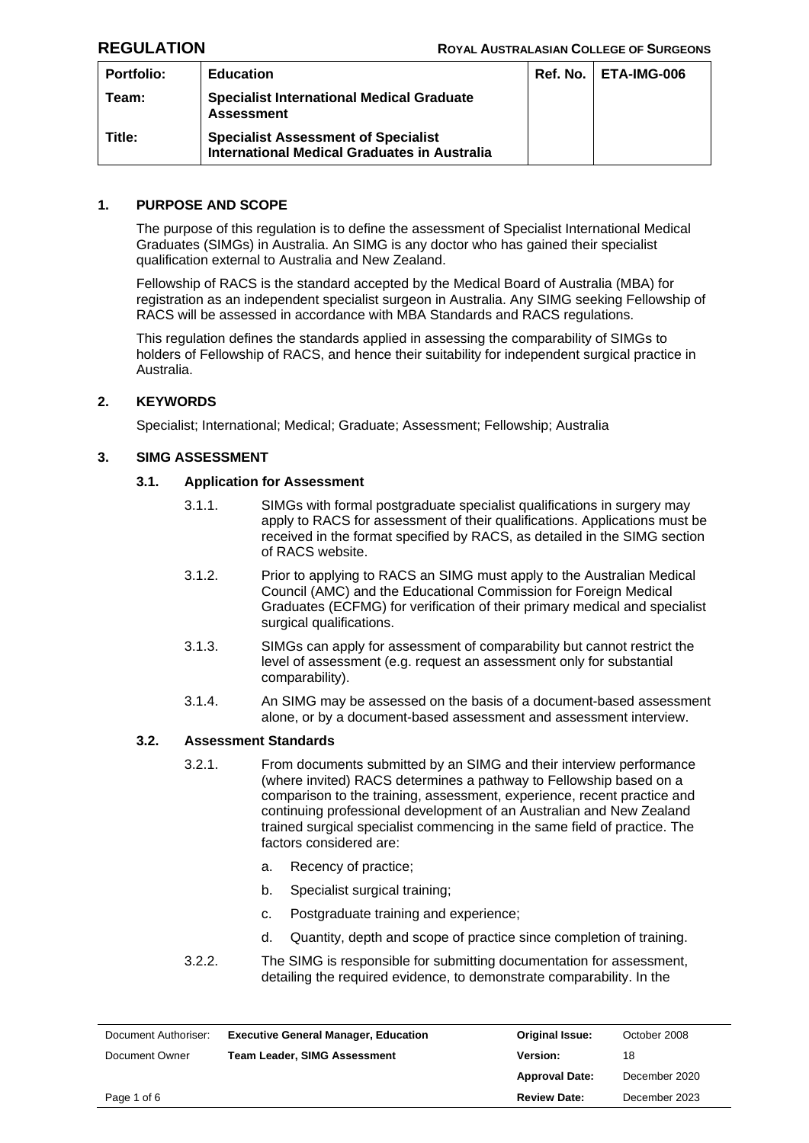| <b>Portfolio:</b> | <b>Education</b>                                                                           | Ref. No. | I ETA-IMG-006 |
|-------------------|--------------------------------------------------------------------------------------------|----------|---------------|
| Team:             | <b>Specialist International Medical Graduate</b><br><b>Assessment</b>                      |          |               |
| Title:            | <b>Specialist Assessment of Specialist</b><br>International Medical Graduates in Australia |          |               |

# **1. PURPOSE AND SCOPE**

The purpose of this regulation is to define the assessment of Specialist International Medical Graduates (SIMGs) in Australia. An SIMG is any doctor who has gained their specialist qualification external to Australia and New Zealand.

Fellowship of RACS is the standard accepted by the Medical Board of Australia (MBA) for registration as an independent specialist surgeon in Australia. Any SIMG seeking Fellowship of RACS will be assessed in accordance with MBA Standards and RACS regulations.

This regulation defines the standards applied in assessing the comparability of SIMGs to holders of Fellowship of RACS, and hence their suitability for independent surgical practice in Australia.

# **2. KEYWORDS**

Specialist; International; Medical; Graduate; Assessment; Fellowship; Australia

# **3. SIMG ASSESSMENT**

# **3.1. Application for Assessment**

- 3.1.1. SIMGs with formal postgraduate specialist qualifications in surgery may apply to RACS for assessment of their qualifications. Applications must be received in the format specified by RACS, as detailed in the SIMG section of RACS website.
- 3.1.2. Prior to applying to RACS an SIMG must apply to the Australian Medical Council (AMC) and the Educational Commission for Foreign Medical Graduates (ECFMG) for verification of their primary medical and specialist surgical qualifications.
- 3.1.3. SIMGs can apply for assessment of comparability but cannot restrict the level of assessment (e.g. request an assessment only for substantial comparability).
- 3.1.4. An SIMG may be assessed on the basis of a document-based assessment alone, or by a document-based assessment and assessment interview.

## **3.2. Assessment Standards**

- 3.2.1. From documents submitted by an SIMG and their interview performance (where invited) RACS determines a pathway to Fellowship based on a comparison to the training, assessment, experience, recent practice and continuing professional development of an Australian and New Zealand trained surgical specialist commencing in the same field of practice. The factors considered are:
	- a. Recency of practice;
	- b. Specialist surgical training;
	- c. Postgraduate training and experience;
	- d. Quantity, depth and scope of practice since completion of training.
- 3.2.2. The SIMG is responsible for submitting documentation for assessment, detailing the required evidence, to demonstrate comparability. In the

| Document Authoriser: | <b>Executive General Manager, Education</b> | <b>Original Issue:</b> | October 2008  |
|----------------------|---------------------------------------------|------------------------|---------------|
| Document Owner       | <b>Team Leader, SIMG Assessment</b>         | <b>Version:</b>        | 18            |
|                      |                                             | <b>Approval Date:</b>  | December 2020 |
| Page 1 of 6          |                                             | <b>Review Date:</b>    | December 2023 |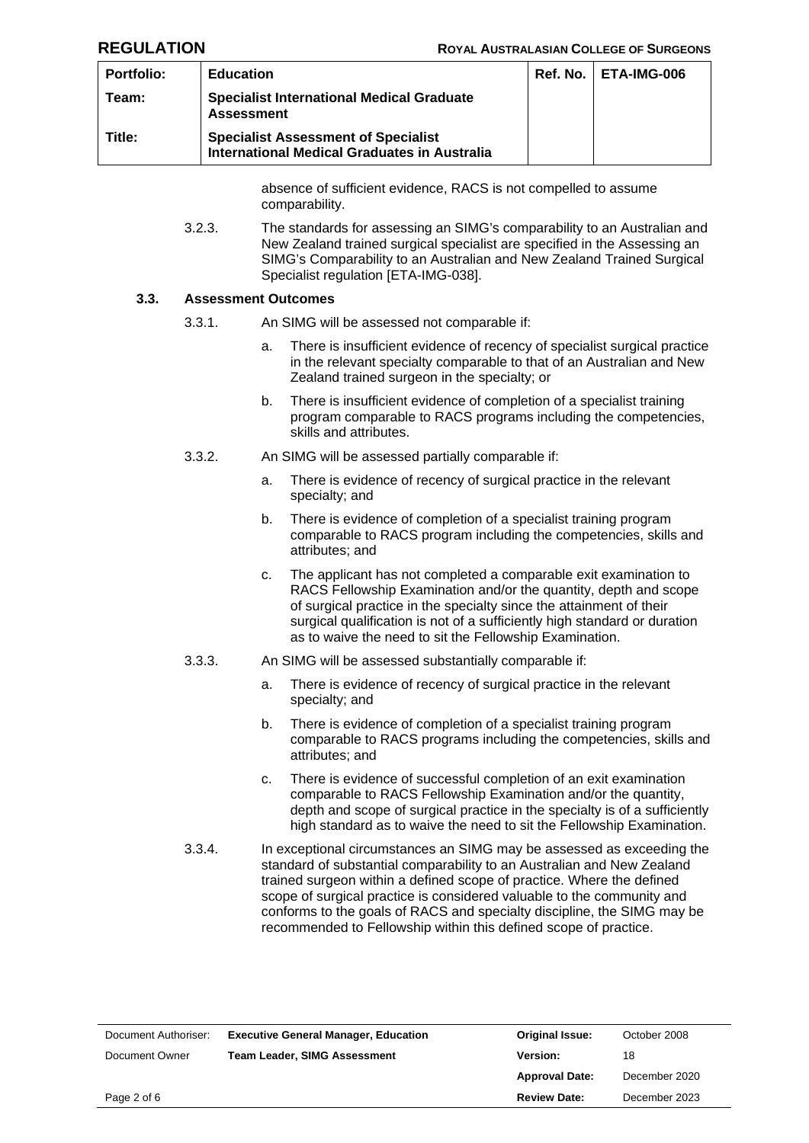| <b>REGULATION</b>                                                                                                                                                        | <b>ROYAL AUSTRALASIAN COLLEGE OF SURGEONS</b> |                                                                       |                                                                                                   |                                                                                                                                                                                                                                                                                                                                                     |  |  |
|--------------------------------------------------------------------------------------------------------------------------------------------------------------------------|-----------------------------------------------|-----------------------------------------------------------------------|---------------------------------------------------------------------------------------------------|-----------------------------------------------------------------------------------------------------------------------------------------------------------------------------------------------------------------------------------------------------------------------------------------------------------------------------------------------------|--|--|
| <b>Portfolio:</b>                                                                                                                                                        |                                               | <b>Education</b>                                                      |                                                                                                   | Ref. No.<br>ETA-IMG-006                                                                                                                                                                                                                                                                                                                             |  |  |
| Team:                                                                                                                                                                    |                                               | <b>Specialist International Medical Graduate</b><br><b>Assessment</b> |                                                                                                   |                                                                                                                                                                                                                                                                                                                                                     |  |  |
| Title:                                                                                                                                                                   |                                               |                                                                       | <b>Specialist Assessment of Specialist</b><br><b>International Medical Graduates in Australia</b> |                                                                                                                                                                                                                                                                                                                                                     |  |  |
|                                                                                                                                                                          |                                               |                                                                       |                                                                                                   | absence of sufficient evidence, RACS is not compelled to assume<br>comparability.                                                                                                                                                                                                                                                                   |  |  |
|                                                                                                                                                                          | 3.2.3.                                        |                                                                       |                                                                                                   | The standards for assessing an SIMG's comparability to an Australian and<br>New Zealand trained surgical specialist are specified in the Assessing an<br>SIMG's Comparability to an Australian and New Zealand Trained Surgical<br>Specialist regulation [ETA-IMG-038].                                                                             |  |  |
| 3.3.                                                                                                                                                                     |                                               |                                                                       |                                                                                                   | <b>Assessment Outcomes</b>                                                                                                                                                                                                                                                                                                                          |  |  |
|                                                                                                                                                                          | 3.3.1.                                        |                                                                       |                                                                                                   | An SIMG will be assessed not comparable if:                                                                                                                                                                                                                                                                                                         |  |  |
|                                                                                                                                                                          |                                               |                                                                       | a.                                                                                                | There is insufficient evidence of recency of specialist surgical practice<br>in the relevant specialty comparable to that of an Australian and New<br>Zealand trained surgeon in the specialty; or                                                                                                                                                  |  |  |
| There is insufficient evidence of completion of a specialist training<br>b.<br>program comparable to RACS programs including the competencies,<br>skills and attributes. |                                               |                                                                       |                                                                                                   |                                                                                                                                                                                                                                                                                                                                                     |  |  |
|                                                                                                                                                                          | 3.3.2.                                        |                                                                       |                                                                                                   | An SIMG will be assessed partially comparable if:                                                                                                                                                                                                                                                                                                   |  |  |
|                                                                                                                                                                          |                                               |                                                                       | a.                                                                                                | There is evidence of recency of surgical practice in the relevant<br>specialty; and                                                                                                                                                                                                                                                                 |  |  |
|                                                                                                                                                                          |                                               |                                                                       | b.                                                                                                | There is evidence of completion of a specialist training program<br>comparable to RACS program including the competencies, skills and<br>attributes; and                                                                                                                                                                                            |  |  |
|                                                                                                                                                                          |                                               |                                                                       | с.                                                                                                | The applicant has not completed a comparable exit examination to<br>RACS Fellowship Examination and/or the quantity, depth and scope<br>of surgical practice in the specialty since the attainment of their<br>surgical qualification is not of a sufficiently high standard or duration<br>as to waive the need to sit the Fellowship Examination. |  |  |
|                                                                                                                                                                          | 3.3.3.                                        |                                                                       |                                                                                                   | An SIMG will be assessed substantially comparable if:                                                                                                                                                                                                                                                                                               |  |  |
|                                                                                                                                                                          |                                               |                                                                       | a.                                                                                                | There is evidence of recency of surgical practice in the relevant<br>specialty; and                                                                                                                                                                                                                                                                 |  |  |
|                                                                                                                                                                          |                                               |                                                                       | b.                                                                                                | There is evidence of completion of a specialist training program<br>comparable to RACS programs including the competencies, skills and<br>attributes; and                                                                                                                                                                                           |  |  |
|                                                                                                                                                                          |                                               |                                                                       | c.                                                                                                | There is evidence of successful completion of an exit examination<br>comparable to RACS Fellowship Examination and/or the quantity,<br>depth and scope of surgical practice in the specialty is of a sufficiently<br>high standard as to waive the need to sit the Fellowship Examination.                                                          |  |  |
|                                                                                                                                                                          | 3.3.4.                                        |                                                                       |                                                                                                   | In exceptional circumstances an SIMG may be assessed as exceeding the<br>standard of substantial comparability to an Australian and New Zealand<br>trained surgeon within a defined scope of practice. Where the defined<br>scope of surgical practice is considered valuable to the community and                                                  |  |  |

| Document Authoriser: | <b>Executive General Manager, Education</b> | <b>Original Issue:</b> | October 2008  |
|----------------------|---------------------------------------------|------------------------|---------------|
| Document Owner       | <b>Team Leader, SIMG Assessment</b>         | <b>Version:</b>        | 18            |
|                      |                                             | <b>Approval Date:</b>  | December 2020 |
| Page 2 of 6          |                                             | <b>Review Date:</b>    | December 2023 |

conforms to the goals of RACS and specialty discipline, the SIMG may be

recommended to Fellowship within this defined scope of practice.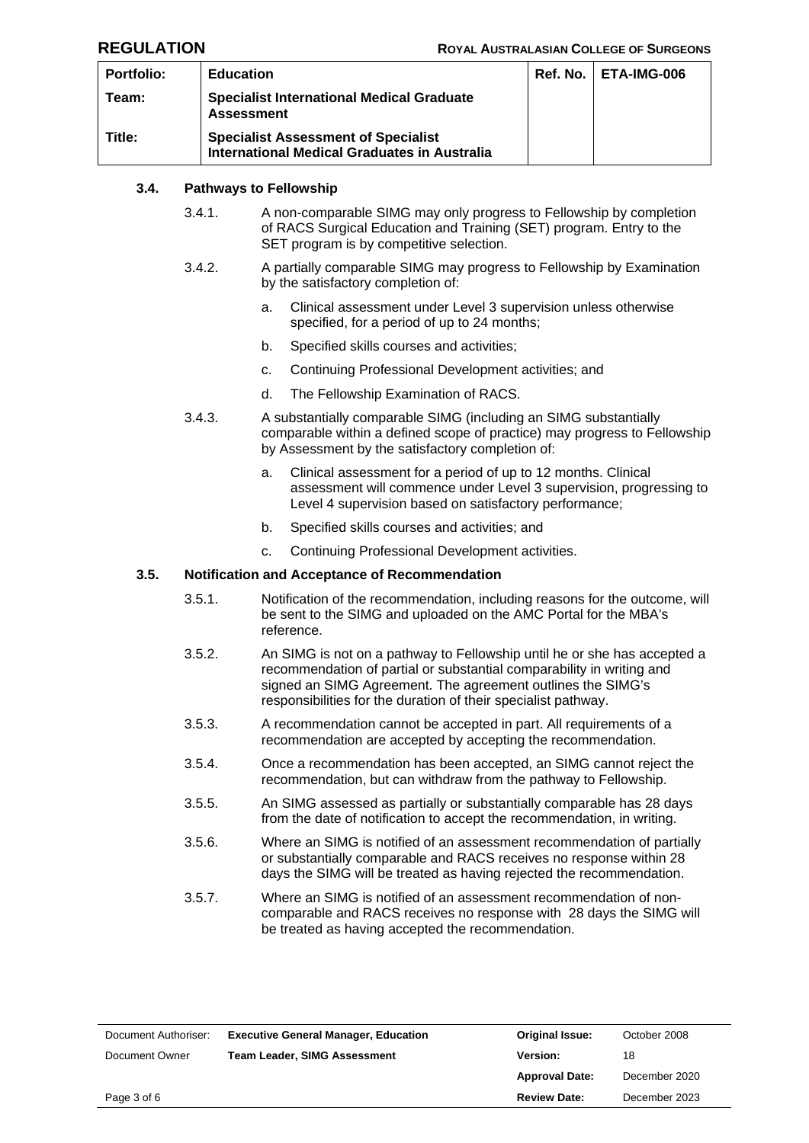| <b>Portfolio:</b> | <b>Education</b>                                                                           | Ref. No.   ETA-IMG-006 |
|-------------------|--------------------------------------------------------------------------------------------|------------------------|
| Team:             | <b>Specialist International Medical Graduate</b><br><b>Assessment</b>                      |                        |
| Title:            | <b>Specialist Assessment of Specialist</b><br>International Medical Graduates in Australia |                        |

## **3.4. Pathways to Fellowship**

- 3.4.1. A non-comparable SIMG may only progress to Fellowship by completion of RACS Surgical Education and Training (SET) program. Entry to the SET program is by competitive selection.
- 3.4.2. A partially comparable SIMG may progress to Fellowship by Examination by the satisfactory completion of:
	- a. Clinical assessment under Level 3 supervision unless otherwise specified, for a period of up to 24 months;
	- b. Specified skills courses and activities;
	- c. Continuing Professional Development activities; and
	- d. The Fellowship Examination of RACS.
- 3.4.3. A substantially comparable SIMG (including an SIMG substantially comparable within a defined scope of practice) may progress to Fellowship by Assessment by the satisfactory completion of:
	- a. Clinical assessment for a period of up to 12 months. Clinical assessment will commence under Level 3 supervision, progressing to Level 4 supervision based on satisfactory performance;
	- b. Specified skills courses and activities; and
	- c. Continuing Professional Development activities.

## **3.5. Notification and Acceptance of Recommendation**

- 3.5.1. Notification of the recommendation, including reasons for the outcome, will be sent to the SIMG and uploaded on the AMC Portal for the MBA's reference.
- 3.5.2. An SIMG is not on a pathway to Fellowship until he or she has accepted a recommendation of partial or substantial comparability in writing and signed an SIMG Agreement. The agreement outlines the SIMG's responsibilities for the duration of their specialist pathway.
- 3.5.3. A recommendation cannot be accepted in part. All requirements of a recommendation are accepted by accepting the recommendation.
- 3.5.4. Once a recommendation has been accepted, an SIMG cannot reject the recommendation, but can withdraw from the pathway to Fellowship.
- 3.5.5. An SIMG assessed as partially or substantially comparable has 28 days from the date of notification to accept the recommendation, in writing.
- 3.5.6. Where an SIMG is notified of an assessment recommendation of partially or substantially comparable and RACS receives no response within 28 days the SIMG will be treated as having rejected the recommendation.
- 3.5.7. Where an SIMG is notified of an assessment recommendation of noncomparable and RACS receives no response with 28 days the SIMG will be treated as having accepted the recommendation.

| Document Authoriser: | <b>Executive General Manager, Education</b> | <b>Original Issue:</b> | October 2008  |
|----------------------|---------------------------------------------|------------------------|---------------|
| Document Owner       | <b>Team Leader, SIMG Assessment</b>         | <b>Version:</b>        | 18            |
|                      |                                             | <b>Approval Date:</b>  | December 2020 |
| Page 3 of 6          |                                             | <b>Review Date:</b>    | December 2023 |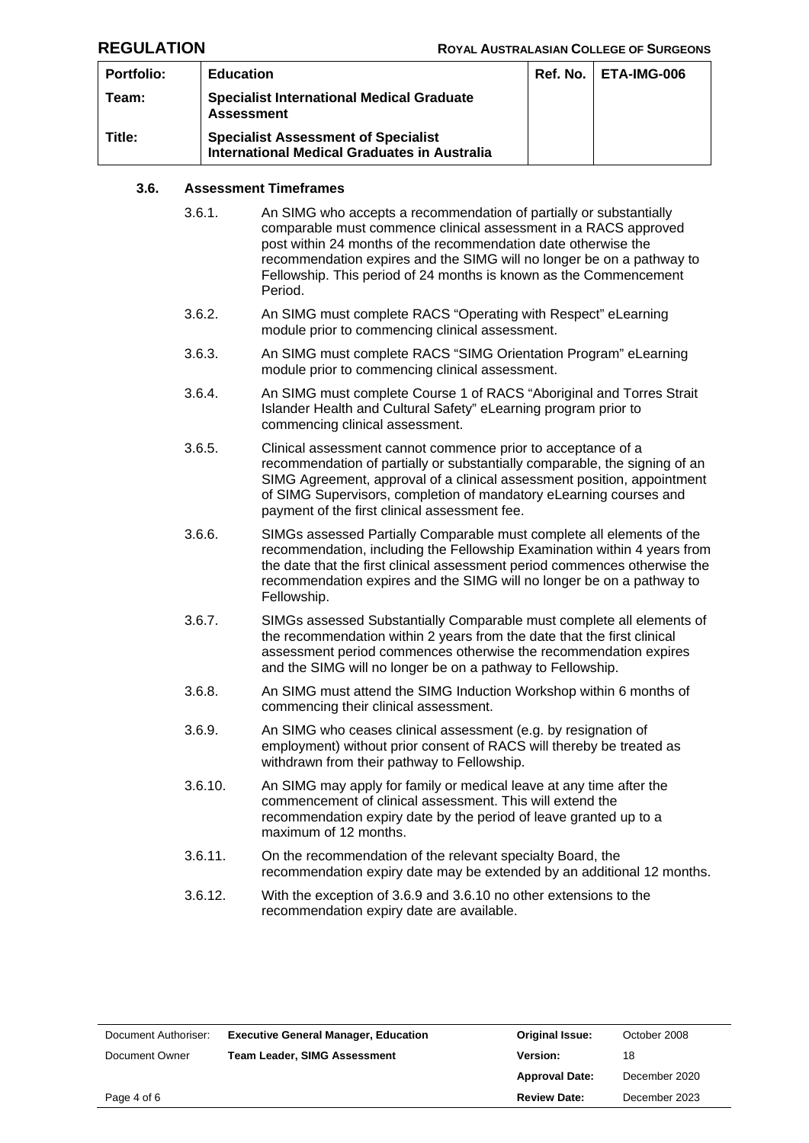| <b>Portfolio:</b> | <b>Education</b>                                                                           | Ref. No.   ETA-IMG-006 |
|-------------------|--------------------------------------------------------------------------------------------|------------------------|
| Team:             | <b>Specialist International Medical Graduate</b><br><b>Assessment</b>                      |                        |
| Title:            | <b>Specialist Assessment of Specialist</b><br>International Medical Graduates in Australia |                        |

# **3.6. Assessment Timeframes**

| 3.6.1.  | An SIMG who accepts a recommendation of partially or substantially<br>comparable must commence clinical assessment in a RACS approved<br>post within 24 months of the recommendation date otherwise the<br>recommendation expires and the SIMG will no longer be on a pathway to<br>Fellowship. This period of 24 months is known as the Commencement<br>Period. |
|---------|------------------------------------------------------------------------------------------------------------------------------------------------------------------------------------------------------------------------------------------------------------------------------------------------------------------------------------------------------------------|
| 3.6.2.  | An SIMG must complete RACS "Operating with Respect" eLearning<br>module prior to commencing clinical assessment.                                                                                                                                                                                                                                                 |
| 3.6.3.  | An SIMG must complete RACS "SIMG Orientation Program" eLearning<br>module prior to commencing clinical assessment.                                                                                                                                                                                                                                               |
| 3.6.4.  | An SIMG must complete Course 1 of RACS "Aboriginal and Torres Strait<br>Islander Health and Cultural Safety" eLearning program prior to<br>commencing clinical assessment.                                                                                                                                                                                       |
| 3.6.5.  | Clinical assessment cannot commence prior to acceptance of a<br>recommendation of partially or substantially comparable, the signing of an<br>SIMG Agreement, approval of a clinical assessment position, appointment<br>of SIMG Supervisors, completion of mandatory eLearning courses and<br>payment of the first clinical assessment fee.                     |
| 3.6.6.  | SIMGs assessed Partially Comparable must complete all elements of the<br>recommendation, including the Fellowship Examination within 4 years from<br>the date that the first clinical assessment period commences otherwise the<br>recommendation expires and the SIMG will no longer be on a pathway to<br>Fellowship.                                          |
| 3.6.7.  | SIMGs assessed Substantially Comparable must complete all elements of<br>the recommendation within 2 years from the date that the first clinical<br>assessment period commences otherwise the recommendation expires<br>and the SIMG will no longer be on a pathway to Fellowship.                                                                               |
| 3.6.8.  | An SIMG must attend the SIMG Induction Workshop within 6 months of<br>commencing their clinical assessment.                                                                                                                                                                                                                                                      |
| 3.6.9.  | An SIMG who ceases clinical assessment (e.g. by resignation of<br>employment) without prior consent of RACS will thereby be treated as<br>withdrawn from their pathway to Fellowship.                                                                                                                                                                            |
| 3.6.10. | An SIMG may apply for family or medical leave at any time after the<br>commencement of clinical assessment. This will extend the<br>recommendation expiry date by the period of leave granted up to a<br>maximum of 12 months.                                                                                                                                   |
| 3.6.11. | On the recommendation of the relevant specialty Board, the<br>recommendation expiry date may be extended by an additional 12 months.                                                                                                                                                                                                                             |
| 3.6.12. | With the exception of 3.6.9 and 3.6.10 no other extensions to the<br>recommendation expiry date are available.                                                                                                                                                                                                                                                   |

| Document Authoriser: | <b>Executive General Manager, Education</b> | <b>Original Issue:</b> | October 2008  |
|----------------------|---------------------------------------------|------------------------|---------------|
| Document Owner       | <b>Team Leader, SIMG Assessment</b>         | <b>Version:</b>        | 18            |
|                      |                                             | <b>Approval Date:</b>  | December 2020 |
| Page 4 of 6          |                                             | <b>Review Date:</b>    | December 2023 |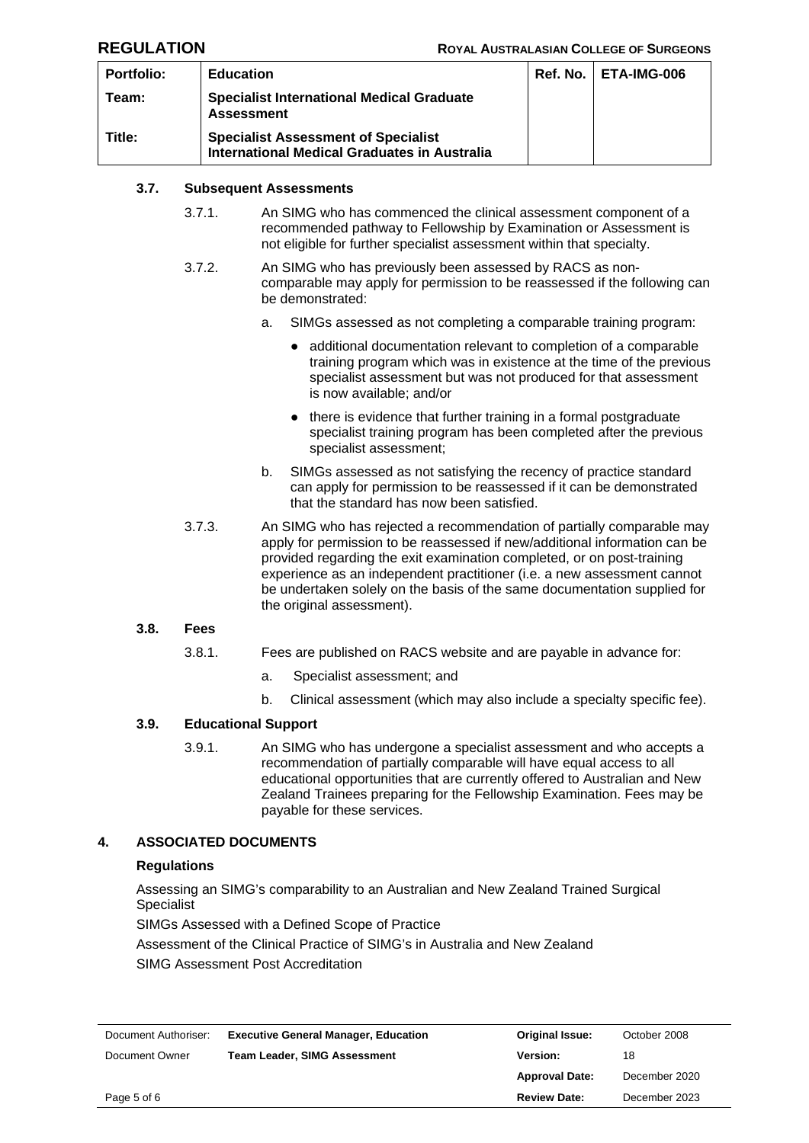| <b>Portfolio:</b> | <b>Education</b>                                                                                  | Ref. No. I | ETA-IMG-006 |
|-------------------|---------------------------------------------------------------------------------------------------|------------|-------------|
| Team:             | <b>Specialist International Medical Graduate</b><br><b>Assessment</b>                             |            |             |
| Title:            | <b>Specialist Assessment of Specialist</b><br><b>International Medical Graduates in Australia</b> |            |             |

## **3.7. Subsequent Assessments**

- 3.7.1. An SIMG who has commenced the clinical assessment component of a recommended pathway to Fellowship by Examination or Assessment is not eligible for further specialist assessment within that specialty.
- 3.7.2. An SIMG who has previously been assessed by RACS as noncomparable may apply for permission to be reassessed if the following can be demonstrated:
	- a. SIMGs assessed as not completing a comparable training program:
		- additional documentation relevant to completion of a comparable training program which was in existence at the time of the previous specialist assessment but was not produced for that assessment is now available; and/or
		- there is evidence that further training in a formal postgraduate specialist training program has been completed after the previous specialist assessment;
	- b. SIMGs assessed as not satisfying the recency of practice standard can apply for permission to be reassessed if it can be demonstrated that the standard has now been satisfied.
- 3.7.3. An SIMG who has rejected a recommendation of partially comparable may apply for permission to be reassessed if new/additional information can be provided regarding the exit examination completed, or on post-training experience as an independent practitioner (i.e. a new assessment cannot be undertaken solely on the basis of the same documentation supplied for the original assessment).

## **3.8. Fees**

- 3.8.1. Fees are published on RACS website and are payable in advance for:
	- a. Specialist assessment; and
	- b. Clinical assessment (which may also include a specialty specific fee).

## **3.9. Educational Support**

3.9.1. An SIMG who has undergone a specialist assessment and who accepts a recommendation of partially comparable will have equal access to all educational opportunities that are currently offered to Australian and New Zealand Trainees preparing for the Fellowship Examination. Fees may be payable for these services.

## **4. ASSOCIATED DOCUMENTS**

## **Regulations**

Assessing an SIMG's comparability to an Australian and New Zealand Trained Surgical Specialist

SIMGs Assessed with a Defined Scope of Practice

Assessment of the Clinical Practice of SIMG's in Australia and New Zealand

SIMG Assessment Post Accreditation

| Document Authoriser: | <b>Executive General Manager, Education</b> | <b>Original Issue:</b> | October 2008  |
|----------------------|---------------------------------------------|------------------------|---------------|
| Document Owner       | <b>Team Leader, SIMG Assessment</b>         | Version:               | 18            |
|                      |                                             | <b>Approval Date:</b>  | December 2020 |
| Page 5 of 6          |                                             | <b>Review Date:</b>    | December 2023 |